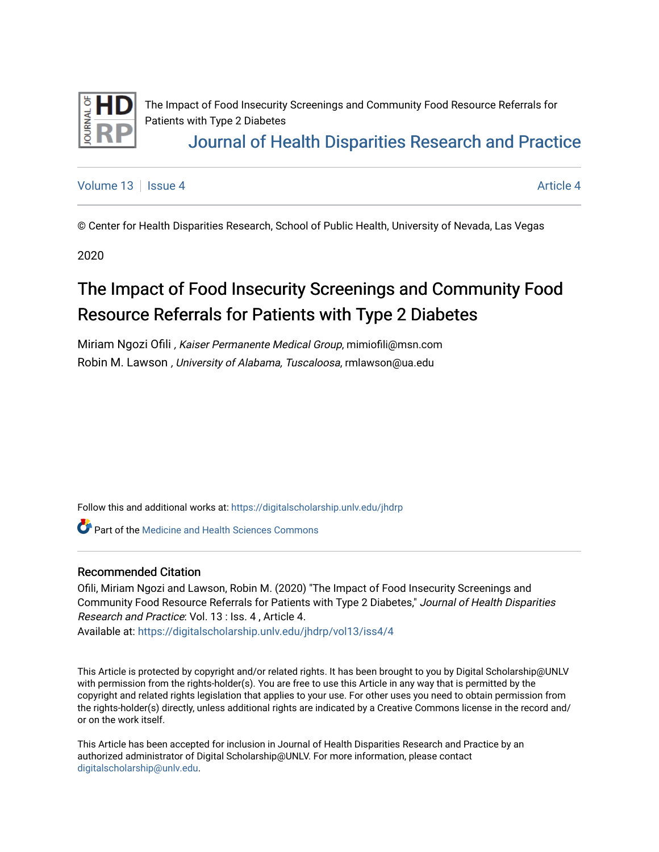

The Impact of Food Insecurity Screenings and Community Food Resource Referrals for Patients with Type 2 Diabetes [Journal of Health Disparities Research and Practice](https://digitalscholarship.unlv.edu/jhdrp) 

[Volume 13](https://digitalscholarship.unlv.edu/jhdrp/vol13) Setup 4 [Article 4](https://digitalscholarship.unlv.edu/jhdrp/vol13/iss4/4) Article 4 Article 4 Article 4 Article 4 Article 4 Article 4

© Center for Health Disparities Research, School of Public Health, University of Nevada, Las Vegas

2020

# The Impact of Food Insecurity Screenings and Community Food Resource Referrals for Patients with Type 2 Diabetes

Miriam Ngozi Ofili , Kaiser Permanente Medical Group, mimiofili@msn.com Robin M. Lawson , University of Alabama, Tuscaloosa, rmlawson@ua.edu

Follow this and additional works at: [https://digitalscholarship.unlv.edu/jhdrp](https://digitalscholarship.unlv.edu/jhdrp?utm_source=digitalscholarship.unlv.edu%2Fjhdrp%2Fvol13%2Fiss4%2F4&utm_medium=PDF&utm_campaign=PDFCoverPages) 

**C** Part of the [Medicine and Health Sciences Commons](http://network.bepress.com/hgg/discipline/648?utm_source=digitalscholarship.unlv.edu%2Fjhdrp%2Fvol13%2Fiss4%2F4&utm_medium=PDF&utm_campaign=PDFCoverPages)

#### Recommended Citation

Ofili, Miriam Ngozi and Lawson, Robin M. (2020) "The Impact of Food Insecurity Screenings and Community Food Resource Referrals for Patients with Type 2 Diabetes," Journal of Health Disparities Research and Practice: Vol. 13 : Iss. 4 , Article 4. Available at: [https://digitalscholarship.unlv.edu/jhdrp/vol13/iss4/4](https://digitalscholarship.unlv.edu/jhdrp/vol13/iss4/4?utm_source=digitalscholarship.unlv.edu%2Fjhdrp%2Fvol13%2Fiss4%2F4&utm_medium=PDF&utm_campaign=PDFCoverPages) 

This Article is protected by copyright and/or related rights. It has been brought to you by Digital Scholarship@UNLV with permission from the rights-holder(s). You are free to use this Article in any way that is permitted by the copyright and related rights legislation that applies to your use. For other uses you need to obtain permission from the rights-holder(s) directly, unless additional rights are indicated by a Creative Commons license in the record and/ or on the work itself.

This Article has been accepted for inclusion in Journal of Health Disparities Research and Practice by an authorized administrator of Digital Scholarship@UNLV. For more information, please contact [digitalscholarship@unlv.edu](mailto:digitalscholarship@unlv.edu).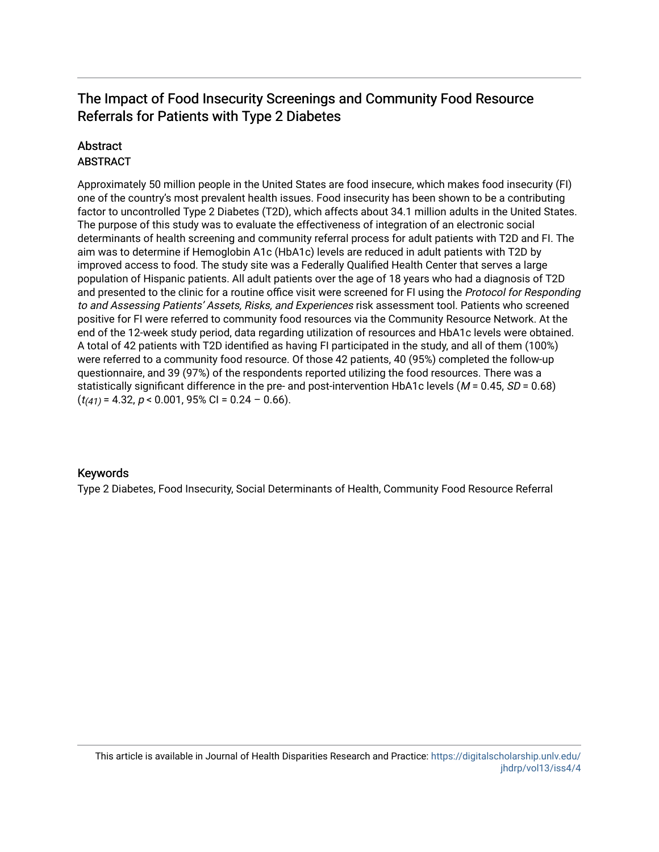#### **Abstract** ABSTRACT

Approximately 50 million people in the United States are food insecure, which makes food insecurity (FI) one of the country's most prevalent health issues. Food insecurity has been shown to be a contributing factor to uncontrolled Type 2 Diabetes (T2D), which affects about 34.1 million adults in the United States. The purpose of this study was to evaluate the effectiveness of integration of an electronic social determinants of health screening and community referral process for adult patients with T2D and FI. The aim was to determine if Hemoglobin A1c (HbA1c) levels are reduced in adult patients with T2D by improved access to food. The study site was a Federally Qualified Health Center that serves a large population of Hispanic patients. All adult patients over the age of 18 years who had a diagnosis of T2D and presented to the clinic for a routine office visit were screened for FI using the Protocol for Responding to and Assessing Patients' Assets, Risks, and Experiences risk assessment tool. Patients who screened positive for FI were referred to community food resources via the Community Resource Network. At the end of the 12-week study period, data regarding utilization of resources and HbA1c levels were obtained. A total of 42 patients with T2D identified as having FI participated in the study, and all of them (100%) were referred to a community food resource. Of those 42 patients, 40 (95%) completed the follow-up questionnaire, and 39 (97%) of the respondents reported utilizing the food resources. There was a statistically significant difference in the pre- and post-intervention HbA1c levels ( $M = 0.45$ ,  $SD = 0.68$ )  $(t_{(41)} = 4.32, p < 0.001, 95\% \text{ Cl} = 0.24 - 0.66).$ 

#### Keywords

Type 2 Diabetes, Food Insecurity, Social Determinants of Health, Community Food Resource Referral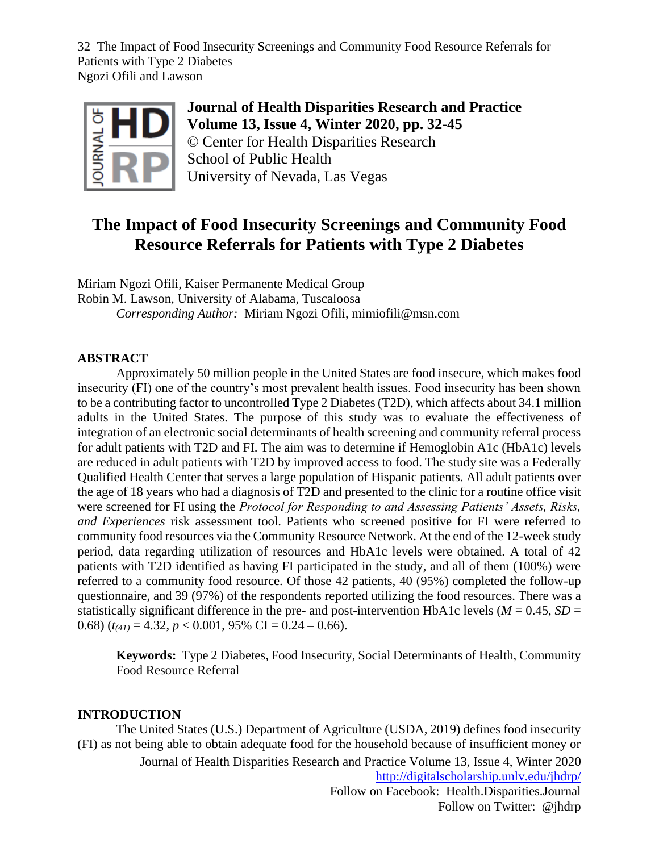

**Journal of Health Disparities Research and Practice Volume 13, Issue 4, Winter 2020, pp. 32-45** © Center for Health Disparities Research School of Public Health University of Nevada, Las Vegas

## **The Impact of Food Insecurity Screenings and Community Food Resource Referrals for Patients with Type 2 Diabetes**

Miriam Ngozi Ofili, Kaiser Permanente Medical Group Robin M. Lawson, University of Alabama, Tuscaloosa *Corresponding Author:* Miriam Ngozi Ofili, mimiofili@msn.com

#### **ABSTRACT**

Approximately 50 million people in the United States are food insecure, which makes food insecurity (FI) one of the country's most prevalent health issues. Food insecurity has been shown to be a contributing factor to uncontrolled Type 2 Diabetes (T2D), which affects about 34.1 million adults in the United States. The purpose of this study was to evaluate the effectiveness of integration of an electronic social determinants of health screening and community referral process for adult patients with T2D and FI. The aim was to determine if Hemoglobin A1c (HbA1c) levels are reduced in adult patients with T2D by improved access to food. The study site was a Federally Qualified Health Center that serves a large population of Hispanic patients. All adult patients over the age of 18 years who had a diagnosis of T2D and presented to the clinic for a routine office visit were screened for FI using the *Protocol for Responding to and Assessing Patients' Assets, Risks, and Experiences* risk assessment tool. Patients who screened positive for FI were referred to community food resources via the Community Resource Network. At the end of the 12-week study period, data regarding utilization of resources and HbA1c levels were obtained. A total of 42 patients with T2D identified as having FI participated in the study, and all of them (100%) were referred to a community food resource. Of those 42 patients, 40 (95%) completed the follow-up questionnaire, and 39 (97%) of the respondents reported utilizing the food resources. There was a statistically significant difference in the pre- and post-intervention HbA1c levels ( $M = 0.45$ ,  $SD =$ 0.68)  $(t_{(41)} = 4.32, p < 0.001, 95\% \text{ CI} = 0.24 - 0.66)$ .

**Keywords:** Type 2 Diabetes, Food Insecurity, Social Determinants of Health, Community Food Resource Referral

#### **INTRODUCTION**

Journal of Health Disparities Research and Practice Volume 13, Issue 4, Winter 2020 <http://digitalscholarship.unlv.edu/jhdrp/> Follow on Facebook: Health.Disparities.Journal Follow on Twitter: @jhdrp The United States (U.S.) Department of Agriculture (USDA, 2019) defines food insecurity (FI) as not being able to obtain adequate food for the household because of insufficient money or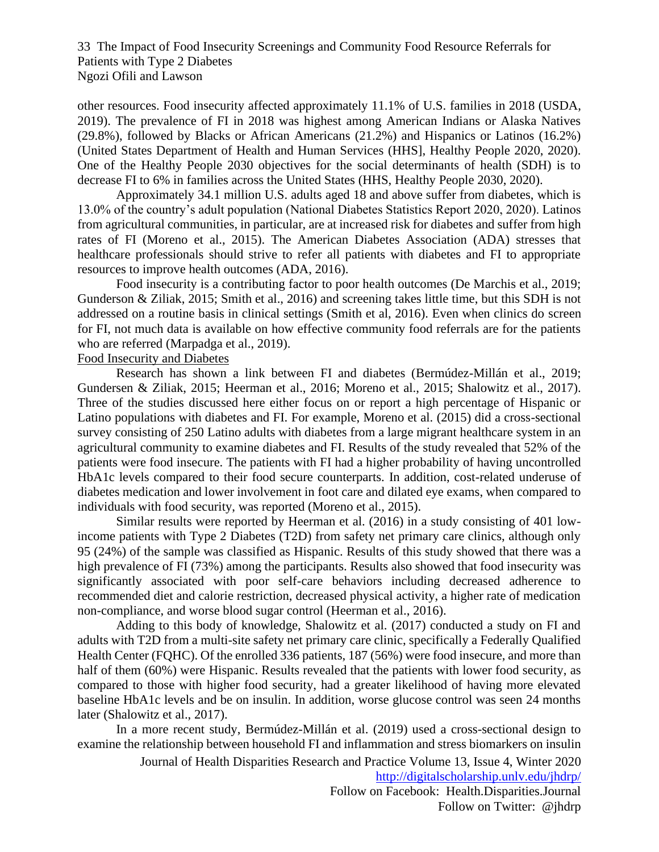other resources. Food insecurity affected approximately 11.1% of U.S. families in 2018 (USDA, 2019). The prevalence of FI in 2018 was highest among American Indians or Alaska Natives (29.8%), followed by Blacks or African Americans (21.2%) and Hispanics or Latinos (16.2%) (United States Department of Health and Human Services (HHS], Healthy People 2020, 2020). One of the Healthy People 2030 objectives for the social determinants of health (SDH) is to decrease FI to 6% in families across the United States (HHS, Healthy People 2030, 2020).

Approximately 34.1 million U.S. adults aged 18 and above suffer from diabetes, which is 13.0% of the country's adult population (National Diabetes Statistics Report 2020, 2020). Latinos from agricultural communities, in particular, are at increased risk for diabetes and suffer from high rates of FI (Moreno et al., 2015). The American Diabetes Association (ADA) stresses that healthcare professionals should strive to refer all patients with diabetes and FI to appropriate resources to improve health outcomes (ADA, 2016).

Food insecurity is a contributing factor to poor health outcomes (De Marchis et al., 2019; Gunderson & Ziliak, 2015; Smith et al., 2016) and screening takes little time, but this SDH is not addressed on a routine basis in clinical settings (Smith et al, 2016). Even when clinics do screen for FI, not much data is available on how effective community food referrals are for the patients who are referred (Marpadga et al., 2019).

#### Food Insecurity and Diabetes

Research has shown a link between FI and diabetes [\(Bermúdez-](https://eds.a.ebscohost.com/eds/detail/detail?vid=26&sid=def4555e-2fca-4374-b274-587511684baf%40sdc-v-sessmgr01&bdata=JnNpdGU9ZWRzLWxpdmUmc2NvcGU9c2l0ZQ%3d%3d)Millán et al., 2019; Gundersen & Ziliak, 2015; Heerman et al., 2016; Moreno et al., 2015; Shalowitz et al., 2017). Three of the studies discussed here either focus on or report a high percentage of Hispanic or Latino populations with diabetes and FI. For example, Moreno et al. (2015) did a cross-sectional survey consisting of 250 Latino adults with diabetes from a large migrant healthcare system in an agricultural community to examine diabetes and FI. Results of the study revealed that 52% of the patients were food insecure. The patients with FI had a higher probability of having uncontrolled HbA1c levels compared to their food secure counterparts. In addition, cost-related underuse of diabetes medication and lower involvement in foot care and dilated eye exams, when compared to individuals with food security, was reported (Moreno et al., 2015).

Similar results were reported by Heerman et al. (2016) in a study consisting of 401 lowincome patients with Type 2 Diabetes (T2D) from safety net primary care clinics, although only 95 (24%) of the sample was classified as Hispanic. Results of this study showed that there was a high prevalence of FI (73%) among the participants. Results also showed that food insecurity was significantly associated with poor self-care behaviors including decreased adherence to recommended diet and calorie restriction, decreased physical activity, a higher rate of medication non-compliance, and worse blood sugar control (Heerman et al., 2016).

Adding to this body of knowledge, Shalowitz et al. (2017) conducted a study on FI and adults with T2D from a multi-site safety net primary care clinic, specifically a Federally Qualified Health Center (FQHC). Of the enrolled 336 patients, 187 (56%) were food insecure, and more than half of them (60%) were Hispanic. Results revealed that the patients with lower food security, as compared to those with higher food security, had a greater likelihood of having more elevated baseline HbA1c levels and be on insulin. In addition, worse glucose control was seen 24 months later (Shalowitz et al., 2017).

In a more recent study, [Bermúdez-](https://eds.a.ebscohost.com/eds/detail/detail?vid=26&sid=def4555e-2fca-4374-b274-587511684baf%40sdc-v-sessmgr01&bdata=JnNpdGU9ZWRzLWxpdmUmc2NvcGU9c2l0ZQ%3d%3d)Millán et al. (2019) used a cross-sectional design to examine the relationship between household FI and inflammation and stress biomarkers on insulin

> Journal of Health Disparities Research and Practice Volume 13, Issue 4, Winter 2020 <http://digitalscholarship.unlv.edu/jhdrp/>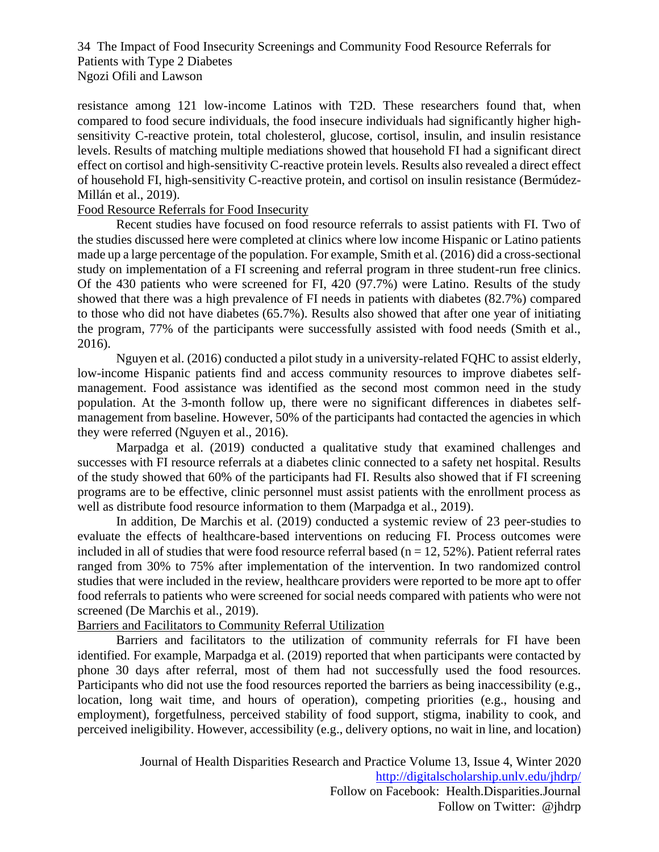resistance among 121 low-income Latinos with T2D. These researchers found that, when compared to food secure individuals, the food insecure individuals had significantly higher highsensitivity C-reactive protein, total cholesterol, glucose, cortisol, insulin, and insulin resistance levels. Results of matching multiple mediations showed that household FI had a significant direct effect on cortisol and high-sensitivity C-reactive protein levels. Results also revealed a direct effect of household FI, high-sensitivity C-reactive protein, and cortisol on insulin resistance [\(Bermúdez-](https://eds.a.ebscohost.com/eds/detail/detail?vid=26&sid=def4555e-2fca-4374-b274-587511684baf%40sdc-v-sessmgr01&bdata=JnNpdGU9ZWRzLWxpdmUmc2NvcGU9c2l0ZQ%3d%3d)Millán et al., 2019).

#### Food Resource Referrals for Food Insecurity

Recent studies have focused on food resource referrals to assist patients with FI. Two of the studies discussed here were completed at clinics where low income Hispanic or Latino patients made up a large percentage of the population. For example, Smith et al. (2016) did a cross-sectional study on implementation of a FI screening and referral program in three student-run free clinics. Of the 430 patients who were screened for FI, 420 (97.7%) were Latino. Results of the study showed that there was a high prevalence of FI needs in patients with diabetes (82.7%) compared to those who did not have diabetes (65.7%). Results also showed that after one year of initiating the program, 77% of the participants were successfully assisted with food needs (Smith et al., 2016).

Nguyen et al. (2016) conducted a pilot study in a university-related FQHC to assist elderly, low-income Hispanic patients find and access community resources to improve diabetes selfmanagement. Food assistance was identified as the second most common need in the study population. At the 3-month follow up, there were no significant differences in diabetes selfmanagement from baseline. However, 50% of the participants had contacted the agencies in which they were referred (Nguyen et al., 2016).

Marpadga et al. (2019) conducted a qualitative study that examined challenges and successes with FI resource referrals at a diabetes clinic connected to a safety net hospital. Results of the study showed that 60% of the participants had FI. Results also showed that if FI screening programs are to be effective, clinic personnel must assist patients with the enrollment process as well as distribute food resource information to them (Marpadga et al., 2019).

 In addition, De Marchis et al. (2019) conducted a systemic review of 23 peer-studies to evaluate the effects of healthcare-based interventions on reducing FI. Process outcomes were included in all of studies that were food resource referral based ( $n = 12, 52\%$ ). Patient referral rates ranged from 30% to 75% after implementation of the intervention. In two randomized control studies that were included in the review, healthcare providers were reported to be more apt to offer food referrals to patients who were screened for social needs compared with patients who were not screened (De Marchis et al., 2019).

#### Barriers and Facilitators to Community Referral Utilization

Barriers and facilitators to the utilization of community referrals for FI have been identified. For example, Marpadga et al. (2019) reported that when participants were contacted by phone 30 days after referral, most of them had not successfully used the food resources. Participants who did not use the food resources reported the barriers as being inaccessibility (e.g., location, long wait time, and hours of operation), competing priorities (e.g., housing and employment), forgetfulness, perceived stability of food support, stigma, inability to cook, and perceived ineligibility. However, accessibility (e.g., delivery options, no wait in line, and location)

> Journal of Health Disparities Research and Practice Volume 13, Issue 4, Winter 2020 <http://digitalscholarship.unlv.edu/jhdrp/> Follow on Facebook: Health.Disparities.Journal Follow on Twitter: @jhdrp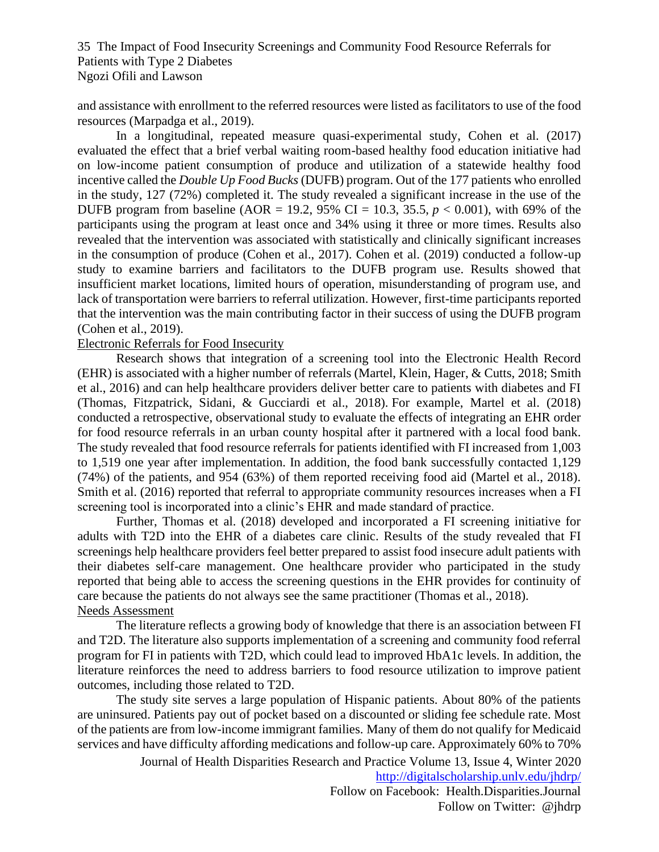and assistance with enrollment to the referred resources were listed as facilitators to use of the food resources (Marpadga et al., 2019).

In a longitudinal, repeated measure quasi-experimental study, Cohen et al. (2017) evaluated the effect that a brief verbal waiting room-based healthy food education initiative had on low-income patient consumption of produce and utilization of a statewide healthy food incentive called the *Double Up Food Bucks* (DUFB) program. Out of the 177 patients who enrolled in the study, 127 (72%) completed it. The study revealed a significant increase in the use of the DUFB program from baseline (AOR = 19.2, 95% CI = 10.3, 35.5,  $p < 0.001$ ), with 69% of the participants using the program at least once and 34% using it three or more times. Results also revealed that the intervention was associated with statistically and clinically significant increases in the consumption of produce (Cohen et al., 2017). Cohen et al. (2019) conducted a follow-up study to examine barriers and facilitators to the DUFB program use. Results showed that insufficient market locations, limited hours of operation, misunderstanding of program use, and lack of transportation were barriers to referral utilization. However, first-time participants reported that the intervention was the main contributing factor in their success of using the DUFB program (Cohen et al., 2019).

#### Electronic Referrals for Food Insecurity

Research shows that integration of a screening tool into the Electronic Health Record (EHR) is associated with a higher number of referrals (Martel, Klein, Hager, & Cutts, 2018; Smith et al., 2016) and can help healthcare providers deliver better care to patients with diabetes and FI (Thomas, Fitzpatrick, Sidani, & Gucciardi et al., 2018). For example, Martel et al. (2018) conducted a retrospective, observational study to evaluate the effects of integrating an EHR order for food resource referrals in an urban county hospital after it partnered with a local food bank. The study revealed that food resource referrals for patients identified with FI increased from 1,003 to 1,519 one year after implementation. In addition, the food bank successfully contacted 1,129 (74%) of the patients, and 954 (63%) of them reported receiving food aid (Martel et al., 2018). Smith et al. (2016) reported that referral to appropriate community resources increases when a FI screening tool is incorporated into a clinic's EHR and made standard of practice.

Further, Thomas et al. (2018) developed and incorporated a FI screening initiative for adults with T2D into the EHR of a diabetes care clinic. Results of the study revealed that FI screenings help healthcare providers feel better prepared to assist food insecure adult patients with their diabetes self-care management. One healthcare provider who participated in the study reported that being able to access the screening questions in the EHR provides for continuity of care because the patients do not always see the same practitioner (Thomas et al., 2018). Needs Assessment

The literature reflects a growing body of knowledge that there is an association between FI and T2D. The literature also supports implementation of a screening and community food referral program for FI in patients with T2D, which could lead to improved HbA1c levels. In addition, the literature reinforces the need to address barriers to food resource utilization to improve patient outcomes, including those related to T2D.

The study site serves a large population of Hispanic patients. About 80% of the patients are uninsured. Patients pay out of pocket based on a discounted or sliding fee schedule rate. Most of the patients are from low-income immigrant families. Many of them do not qualify for Medicaid services and have difficulty affording medications and follow-up care. Approximately 60% to 70%

> Journal of Health Disparities Research and Practice Volume 13, Issue 4, Winter 2020 <http://digitalscholarship.unlv.edu/jhdrp/>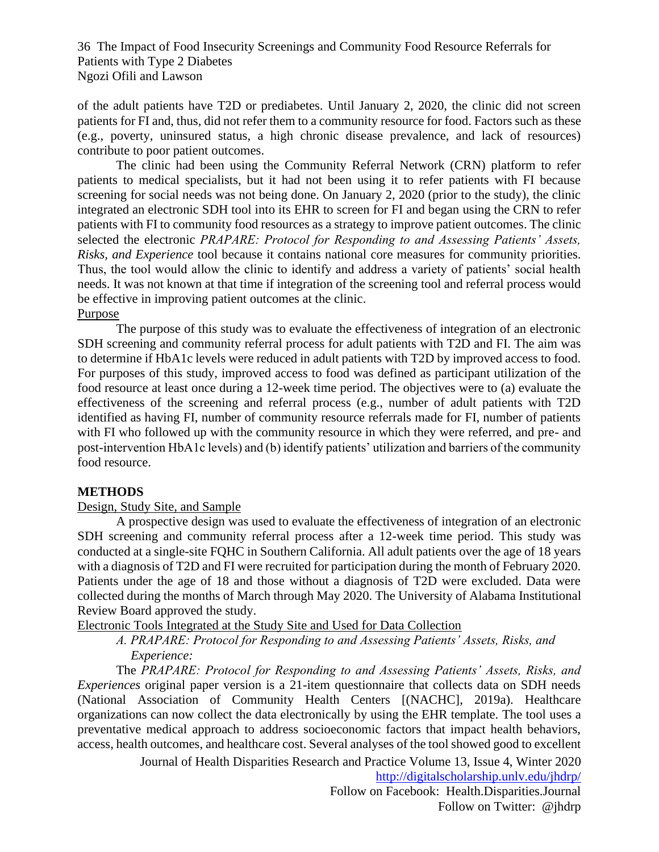of the adult patients have T2D or prediabetes. Until January 2, 2020, the clinic did not screen patients for FI and, thus, did not refer them to a community resource for food. Factors such as these (e.g., poverty, uninsured status, a high chronic disease prevalence, and lack of resources) contribute to poor patient outcomes.

The clinic had been using the Community Referral Network (CRN) platform to refer patients to medical specialists, but it had not been using it to refer patients with FI because screening for social needs was not being done. On January 2, 2020 (prior to the study), the clinic integrated an electronic SDH tool into its EHR to screen for FI and began using the CRN to refer patients with FI to community food resources as a strategy to improve patient outcomes. The clinic selected the electronic *PRAPARE: Protocol for Responding to and Assessing Patients' Assets, Risks, and Experience* tool because it contains national core measures for community priorities. Thus, the tool would allow the clinic to identify and address a variety of patients' social health needs. It was not known at that time if integration of the screening tool and referral process would be effective in improving patient outcomes at the clinic. Purpose

The purpose of this study was to evaluate the effectiveness of integration of an electronic SDH screening and community referral process for adult patients with T2D and FI. The aim was to determine if HbA1c levels were reduced in adult patients with T2D by improved access to food. For purposes of this study, improved access to food was defined as participant utilization of the food resource at least once during a 12-week time period. The objectives were to (a) evaluate the effectiveness of the screening and referral process (e.g., number of adult patients with T2D identified as having FI, number of community resource referrals made for FI, number of patients with FI who followed up with the community resource in which they were referred, and pre- and post-intervention HbA1c levels) and (b) identify patients' utilization and barriers of the community food resource.

#### **METHODS**

#### Design, Study Site, and Sample

A prospective design was used to evaluate the effectiveness of integration of an electronic SDH screening and community referral process after a 12-week time period. This study was conducted at a single-site FQHC in Southern California. All adult patients over the age of 18 years with a diagnosis of T2D and FI were recruited for participation during the month of February 2020. Patients under the age of 18 and those without a diagnosis of T2D were excluded. Data were collected during the months of March through May 2020. The University of Alabama Institutional Review Board approved the study.

Electronic Tools Integrated at the Study Site and Used for Data Collection

*A. PRAPARE: Protocol for Responding to and Assessing Patients' Assets, Risks, and Experience:*

The *PRAPARE: Protocol for Responding to and Assessing Patients' Assets, Risks, and Experiences* original paper version is a 21-item questionnaire that collects data on SDH needs (National Association of Community Health Centers [(NACHC], 2019a). Healthcare organizations can now collect the data electronically by using the EHR template. The tool uses a preventative medical approach to address socioeconomic factors that impact health behaviors, access, health outcomes, and healthcare cost. Several analyses of the tool showed good to excellent

Journal of Health Disparities Research and Practice Volume 13, Issue 4, Winter 2020

<http://digitalscholarship.unlv.edu/jhdrp/>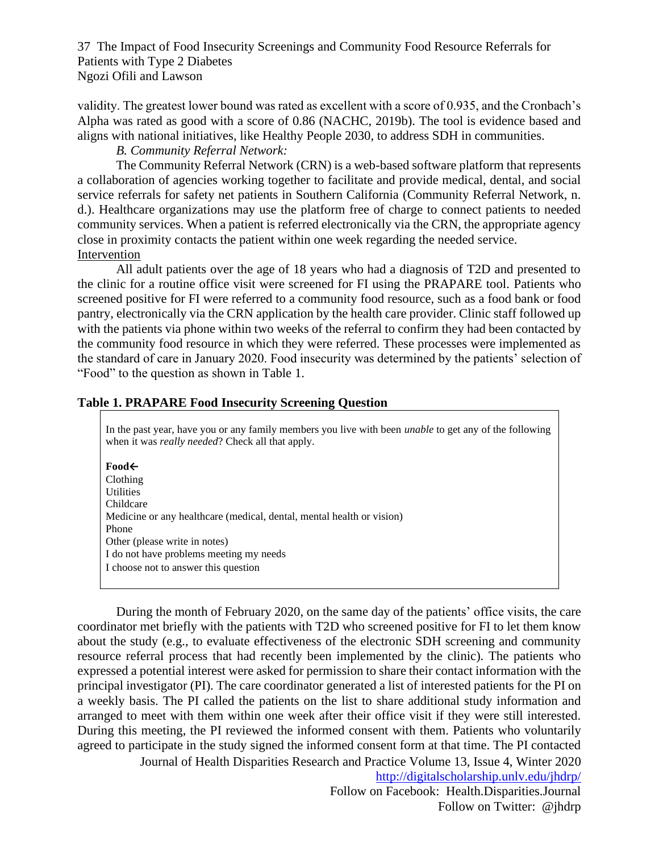validity. The greatest lower bound was rated as excellent with a score of 0.935, and the Cronbach's Alpha was rated as good with a score of 0.86 (NACHC, 2019b). The tool is evidence based and aligns with national initiatives, like Healthy People 2030, to address SDH in communities.

#### *B. Community Referral Network:*

The Community Referral Network (CRN) is a web-based software platform that represents a collaboration of agencies working together to facilitate and provide medical, dental, and social service referrals for safety net patients in Southern California (Community Referral Network, n. d.). Healthcare organizations may use the platform free of charge to connect patients to needed community services. When a patient is referred electronically via the CRN, the appropriate agency close in proximity contacts the patient within one week regarding the needed service. Intervention

All adult patients over the age of 18 years who had a diagnosis of T2D and presented to the clinic for a routine office visit were screened for FI using the PRAPARE tool. Patients who screened positive for FI were referred to a community food resource, such as a food bank or food pantry, electronically via the CRN application by the health care provider. Clinic staff followed up with the patients via phone within two weeks of the referral to confirm they had been contacted by the community food resource in which they were referred. These processes were implemented as the standard of care in January 2020. Food insecurity was determined by the patients' selection of "Food" to the question as shown in Table 1.

#### **Table 1. PRAPARE Food Insecurity Screening Question**

In the past year, have you or any family members you live with been *unable* to get any of the following when it was *really needed*? Check all that apply.

▪ **Food←**

**Clothing Utilities** Childcare Medicine or any healthcare (medical, dental, mental health or vision) Phone Other (please write in notes) I do not have problems meeting my needs I choose not to answer this question

Journal of Health Disparities Research and Practice Volume 13, Issue 4, Winter 2020 During the month of February 2020, on the same day of the patients' office visits, the care coordinator met briefly with the patients with T2D who screened positive for FI to let them know about the study (e.g., to evaluate effectiveness of the electronic SDH screening and community resource referral process that had recently been implemented by the clinic). The patients who expressed a potential interest were asked for permission to share their contact information with the principal investigator (PI). The care coordinator generated a list of interested patients for the PI on a weekly basis. The PI called the patients on the list to share additional study information and arranged to meet with them within one week after their office visit if they were still interested. During this meeting, the PI reviewed the informed consent with them. Patients who voluntarily agreed to participate in the study signed the informed consent form at that time. The PI contacted

<http://digitalscholarship.unlv.edu/jhdrp/>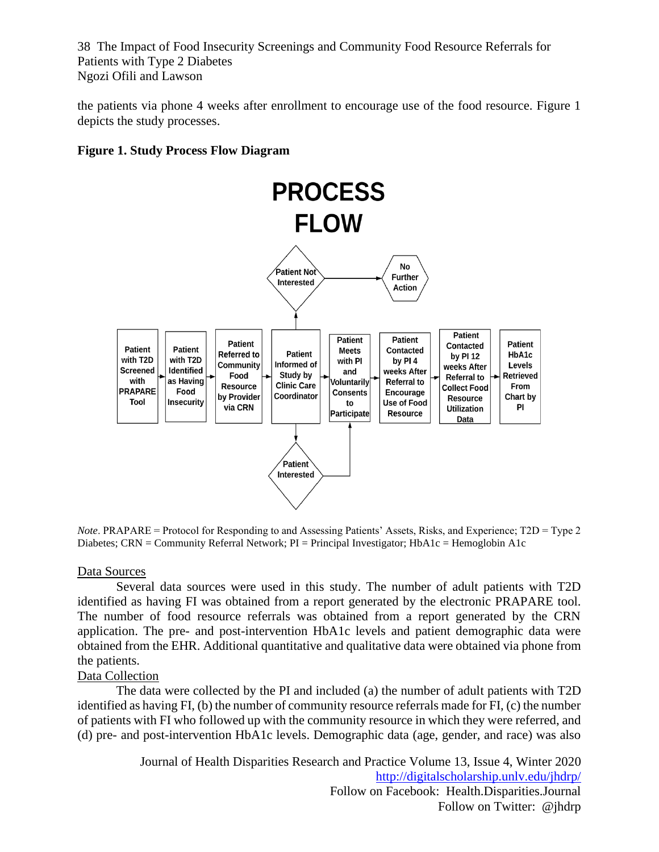the patients via phone 4 weeks after enrollment to encourage use of the food resource. Figure 1 depicts the study processes.

#### **Figure 1. Study Process Flow Diagram**



*Note*. PRAPARE = Protocol for Responding to and Assessing Patients' Assets, Risks, and Experience; T2D = Type 2 Diabetes; CRN = Community Referral Network; PI = Principal Investigator; HbA1c = Hemoglobin A1c

#### Data Sources

Several data sources were used in this study. The number of adult patients with T2D identified as having FI was obtained from a report generated by the electronic PRAPARE tool. The number of food resource referrals was obtained from a report generated by the CRN application. The pre- and post-intervention HbA1c levels and patient demographic data were obtained from the EHR. Additional quantitative and qualitative data were obtained via phone from the patients.

#### Data Collection

The data were collected by the PI and included (a) the number of adult patients with T2D identified as having FI, (b) the number of community resource referrals made for FI, (c) the number of patients with FI who followed up with the community resource in which they were referred, and (d) pre- and post-intervention HbA1c levels. Demographic data (age, gender, and race) was also

> Journal of Health Disparities Research and Practice Volume 13, Issue 4, Winter 2020 <http://digitalscholarship.unlv.edu/jhdrp/> Follow on Facebook: Health.Disparities.Journal Follow on Twitter: @jhdrp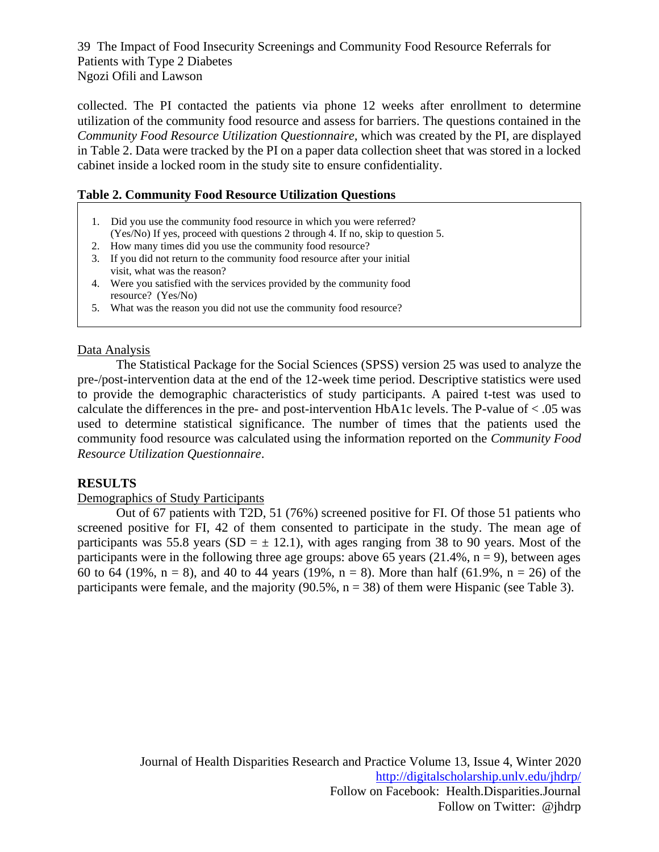collected. The PI contacted the patients via phone 12 weeks after enrollment to determine utilization of the community food resource and assess for barriers. The questions contained in the *Community Food Resource Utilization Questionnaire,* which was created by the PI*,* are displayed in Table 2. Data were tracked by the PI on a paper data collection sheet that was stored in a locked cabinet inside a locked room in the study site to ensure confidentiality.

#### **Table 2. Community Food Resource Utilization Questions**

- 1. Did you use the community food resource in which you were referred? (Yes/No) If yes, proceed with questions 2 through 4. If no, skip to question 5.
- 2. How many times did you use the community food resource?
- 2. 3. If you did not return to the community food resource after your initial visit, what was the reason?
- 3. 4. Were you satisfied with the services provided by the community food resource? (Yes/No)
- 5. What was the reason you did not use the community food resource?

#### Data Analysis

The Statistical Package for the Social Sciences (SPSS) version 25 was used to analyze the pre-/post-intervention data at the end of the 12-week time period. Descriptive statistics were used to provide the demographic characteristics of study participants. A paired t-test was used to calculate the differences in the pre- and post-intervention HbA1c levels. The P-value of  $< .05$  was used to determine statistical significance. The number of times that the patients used the community food resource was calculated using the information reported on the *Community Food Resource Utilization Questionnaire*.

#### **RESULTS**

#### Demographics of Study Participants

Out of 67 patients with T2D, 51 (76%) screened positive for FI. Of those 51 patients who screened positive for FI, 42 of them consented to participate in the study. The mean age of participants was 55.8 years (SD =  $\pm$  12.1), with ages ranging from 38 to 90 years. Most of the participants were in the following three age groups: above 65 years  $(21.4\%, n = 9)$ , between ages 60 to 64 (19%,  $n = 8$ ), and 40 to 44 years (19%,  $n = 8$ ). More than half (61.9%,  $n = 26$ ) of the participants were female, and the majority  $(90.5\%, n = 38)$  of them were Hispanic (see Table 3).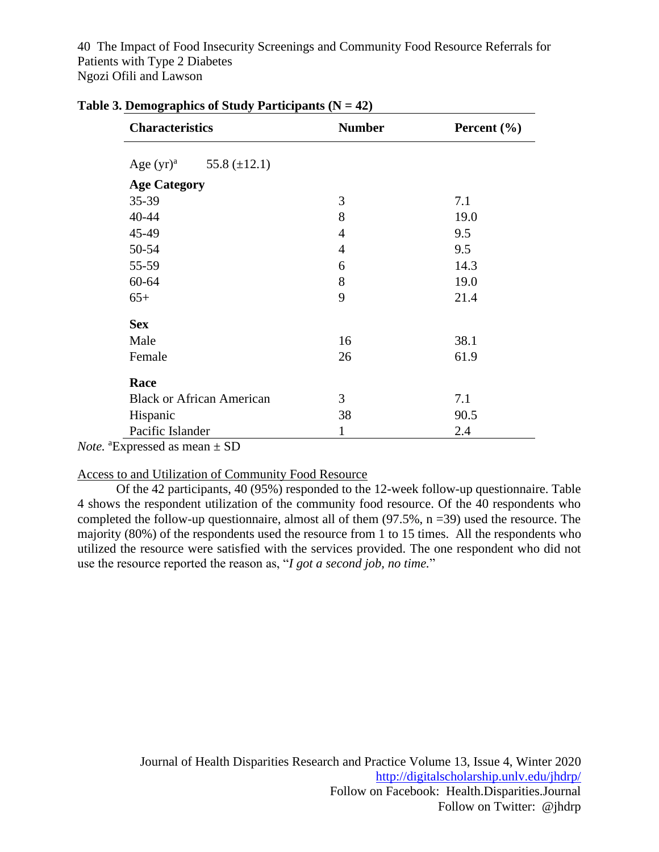| <b>Characteristics</b> |                                  | <b>Number</b>  | Percent $(\% )$ |  |
|------------------------|----------------------------------|----------------|-----------------|--|
|                        | Age $(yr)^a$ 55.8 (±12.1)        |                |                 |  |
| <b>Age Category</b>    |                                  |                |                 |  |
| $35 - 39$              |                                  | 3              | 7.1             |  |
| 40-44                  |                                  | 8              | 19.0            |  |
| 45-49                  |                                  | $\overline{4}$ | 9.5             |  |
| 50-54                  |                                  | $\overline{4}$ | 9.5             |  |
| 55-59                  |                                  | 6              | 14.3            |  |
| $60 - 64$              |                                  | 8              | 19.0            |  |
| $65+$                  |                                  | 9              | 21.4            |  |
| <b>Sex</b>             |                                  |                |                 |  |
| Male                   |                                  | 16             | 38.1            |  |
| Female                 |                                  | 26             | 61.9            |  |
| Race                   |                                  |                |                 |  |
|                        | <b>Black or African American</b> | 3              | 7.1             |  |
| Hispanic               |                                  | 38             | 90.5            |  |
| Pacific Islander       |                                  | 1              | 2.4             |  |

#### **Table 3. Demographics of Study Participants (N = 42)**

*Note.* <sup>a</sup>Expressed as mean ± SD

#### Access to and Utilization of Community Food Resource

Of the 42 participants, 40 (95%) responded to the 12-week follow-up questionnaire. Table 4 shows the respondent utilization of the community food resource. Of the 40 respondents who completed the follow-up questionnaire, almost all of them (97.5%, n =39) used the resource. The majority (80%) of the respondents used the resource from 1 to 15 times. All the respondents who utilized the resource were satisfied with the services provided. The one respondent who did not use the resource reported the reason as, "*I got a second job, no time.*"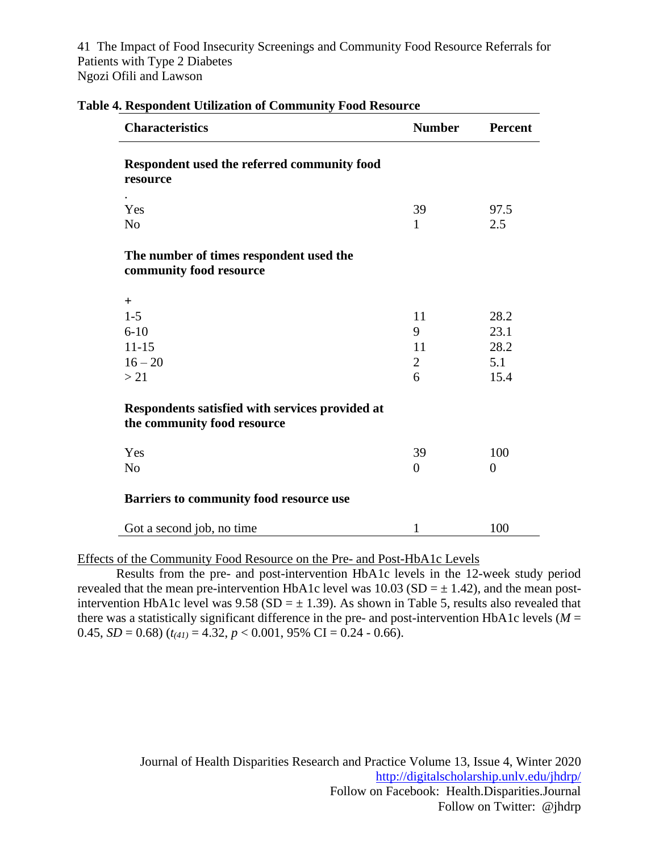| <b>Characteristics</b>                                                         | <b>Number</b>  | <b>Percent</b> |
|--------------------------------------------------------------------------------|----------------|----------------|
| Respondent used the referred community food<br>resource                        |                |                |
| Yes                                                                            | 39             | 97.5           |
| N <sub>0</sub>                                                                 | 1              | 2.5            |
| The number of times respondent used the<br>community food resource             |                |                |
| $+$                                                                            |                |                |
| $1 - 5$                                                                        | 11             | 28.2           |
| $6 - 10$                                                                       | 9              | 23.1           |
| $11 - 15$                                                                      | 11             | 28.2           |
| $16 - 20$                                                                      | $\overline{2}$ | 5.1            |
| >21                                                                            | 6              | 15.4           |
| Respondents satisfied with services provided at<br>the community food resource |                |                |
| Yes                                                                            | 39             | 100            |
| N <sub>o</sub>                                                                 | $\overline{0}$ | $\overline{0}$ |
| Barriers to community food resource use                                        |                |                |
| Got a second job, no time                                                      | 1              | 100            |

| <b>Table 4. Respondent Utilization of Community Food Resource</b> |  |  |  |
|-------------------------------------------------------------------|--|--|--|
|-------------------------------------------------------------------|--|--|--|

Effects of the Community Food Resource on the Pre- and Post-HbA1c Levels

Results from the pre- and post-intervention HbA1c levels in the 12-week study period revealed that the mean pre-intervention HbA1c level was  $10.03$  (SD =  $\pm$  1.42), and the mean postintervention HbA1c level was  $9.58$  (SD =  $\pm$  1.39). As shown in Table 5, results also revealed that there was a statistically significant difference in the pre- and post-intervention HbA1c levels ( $M =$ 0.45,  $SD = 0.68$ ) ( $t_{(41)} = 4.32$ ,  $p < 0.001$ , 95% CI = 0.24 - 0.66).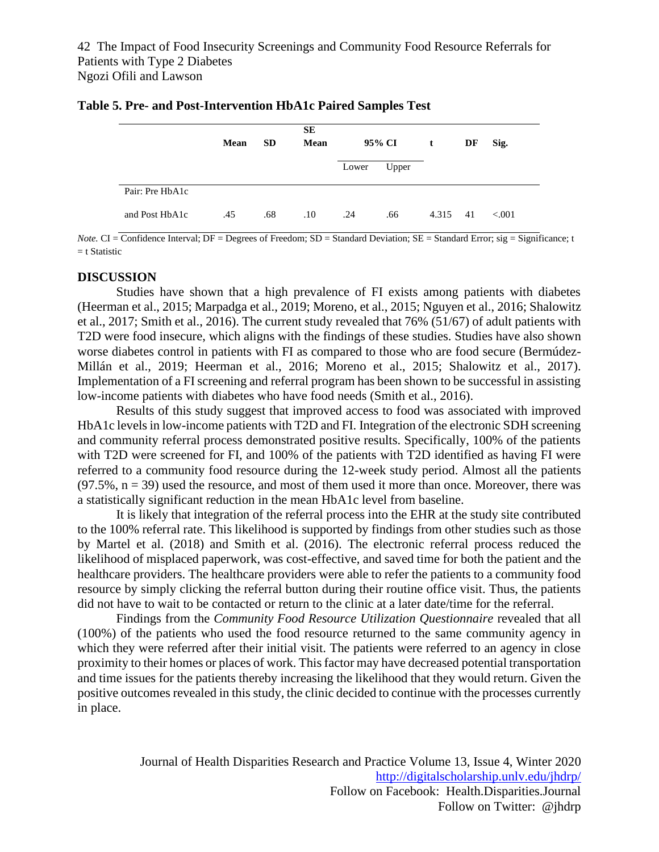|                 | Mean | <b>SD</b> | SЕ<br><b>Mean</b> |       | 95% CI | $\mathbf{t}$ | DF | Sig.    |
|-----------------|------|-----------|-------------------|-------|--------|--------------|----|---------|
|                 |      |           |                   | Lower | Upper  |              |    |         |
| Pair: Pre HbA1c |      |           |                   |       |        |              |    |         |
| and Post HbA1c  | .45  | .68       | .10               | .24   | .66    | 4.315        | 41 | < 0.001 |

| Table 5. Pre- and Post-Intervention HbA1c Paired Samples Test |  |
|---------------------------------------------------------------|--|
|---------------------------------------------------------------|--|

*Note.* CI = Confidence Interval; DF = Degrees of Freedom; SD = Standard Deviation; SE = Standard Error; sig = Significance; t  $=$  t Statistic

#### **DISCUSSION**

Studies have shown that a high prevalence of FI exists among patients with diabetes (Heerman et al., 2015; Marpadga et al., 2019; Moreno, et al., 2015; Nguyen et al., 2016; Shalowitz et al., 2017; Smith et al., 2016). The current study revealed that 76% (51/67) of adult patients with T2D were food insecure, which aligns with the findings of these studies. Studies have also shown worse diabetes control in patients with FI as compared to those who are food secure [\(Bermúdez-](https://eds.a.ebscohost.com/eds/detail/detail?vid=26&sid=def4555e-2fca-4374-b274-587511684baf%40sdc-v-sessmgr01&bdata=JnNpdGU9ZWRzLWxpdmUmc2NvcGU9c2l0ZQ%3d%3d)Millán et al., 2019; Heerman et al., 2016; Moreno et al., 2015; Shalowitz et al., 2017). Implementation of a FI screening and referral program has been shown to be successful in assisting low-income patients with diabetes who have food needs (Smith et al., 2016).

Results of this study suggest that improved access to food was associated with improved HbA1c levels in low-income patients with T2D and FI. Integration of the electronic SDH screening and community referral process demonstrated positive results. Specifically, 100% of the patients with T2D were screened for FI, and 100% of the patients with T2D identified as having FI were referred to a community food resource during the 12-week study period. Almost all the patients  $(97.5\%, n = 39)$  used the resource, and most of them used it more than once. Moreover, there was a statistically significant reduction in the mean HbA1c level from baseline.

It is likely that integration of the referral process into the EHR at the study site contributed to the 100% referral rate. This likelihood is supported by findings from other studies such as those by Martel et al. (2018) and Smith et al. (2016). The electronic referral process reduced the likelihood of misplaced paperwork, was cost-effective, and saved time for both the patient and the healthcare providers. The healthcare providers were able to refer the patients to a community food resource by simply clicking the referral button during their routine office visit. Thus, the patients did not have to wait to be contacted or return to the clinic at a later date/time for the referral.

Findings from the *Community Food Resource Utilization Questionnaire* revealed that all (100%) of the patients who used the food resource returned to the same community agency in which they were referred after their initial visit. The patients were referred to an agency in close proximity to their homes or places of work. This factor may have decreased potential transportation and time issues for the patients thereby increasing the likelihood that they would return. Given the positive outcomes revealed in this study, the clinic decided to continue with the processes currently in place.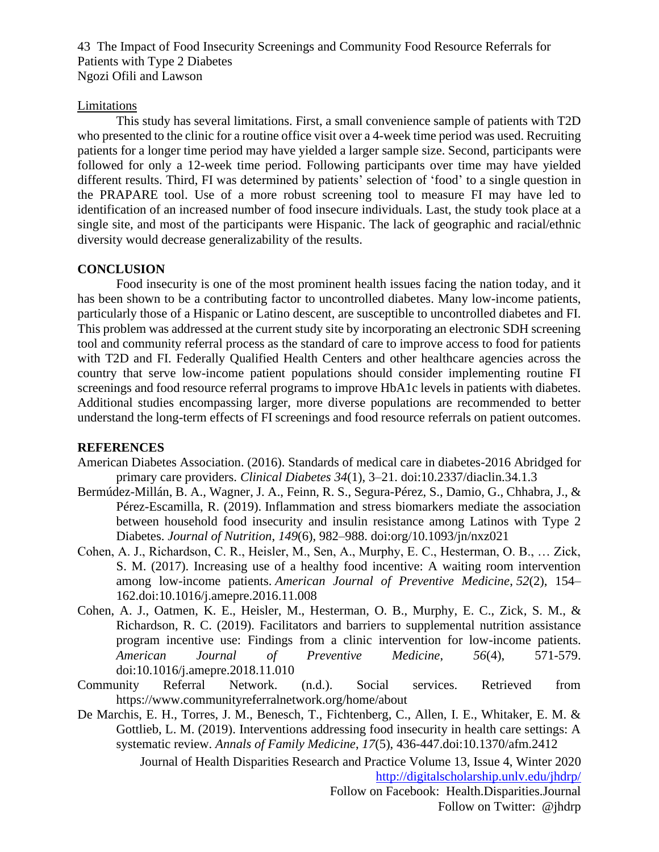#### Limitations

This study has several limitations. First, a small convenience sample of patients with T2D who presented to the clinic for a routine office visit over a 4-week time period was used. Recruiting patients for a longer time period may have yielded a larger sample size. Second, participants were followed for only a 12-week time period. Following participants over time may have yielded different results. Third, FI was determined by patients' selection of 'food' to a single question in the PRAPARE tool. Use of a more robust screening tool to measure FI may have led to identification of an increased number of food insecure individuals. Last, the study took place at a single site, and most of the participants were Hispanic. The lack of geographic and racial/ethnic diversity would decrease generalizability of the results.

#### **CONCLUSION**

Food insecurity is one of the most prominent health issues facing the nation today, and it has been shown to be a contributing factor to uncontrolled diabetes. Many low-income patients, particularly those of a Hispanic or Latino descent, are susceptible to uncontrolled diabetes and FI. This problem was addressed at the current study site by incorporating an electronic SDH screening tool and community referral process as the standard of care to improve access to food for patients with T2D and FI. Federally Qualified Health Centers and other healthcare agencies across the country that serve low-income patient populations should consider implementing routine FI screenings and food resource referral programs to improve HbA1c levels in patients with diabetes. Additional studies encompassing larger, more diverse populations are recommended to better understand the long-term effects of FI screenings and food resource referrals on patient outcomes.

#### **REFERENCES**

- American Diabetes Association. (2016). Standards of medical care in diabetes-2016 Abridged for primary care providers. *Clinical Diabetes 34*(1), 3–21. doi:10.2337/diaclin.34.1.3
- [Bermúdez-](https://eds.a.ebscohost.com/eds/detail/detail?vid=26&sid=def4555e-2fca-4374-b274-587511684baf%40sdc-v-sessmgr01&bdata=JnNpdGU9ZWRzLWxpdmUmc2NvcGU9c2l0ZQ%3d%3d)Millán, B. A., Wagner, J. A., Feinn, R. S., Segura-Pérez, S., Damio, G., Chhabra, J., & Pérez-Escamilla, R. (2019). Inflammation and stress biomarkers mediate the association between household food insecurity and insulin resistance among Latinos with Type 2 Diabetes. *Journal of Nutrition*, *149*(6), 982–988. [doi:org/10.1093/jn/nxz021](about:blank)
- Cohen, A. J., Richardson, C. R., Heisler, M., Sen, A., Murphy, E. C., Hesterman, O. B., … Zick, S. M. (2017). Increasing use of a healthy food incentive: A waiting room intervention among low-income patients. *American Journal of Preventive Medicine*, *52*(2), 154– 162.doi:10.1016/j.amepre.2016.11.008
- Cohen, A. J., Oatmen, K. E., Heisler, M., Hesterman, O. B., Murphy, E. C., Zick, S. M., & Richardson, R. C. (2019). Facilitators and barriers to supplemental nutrition assistance program incentive use: Findings from a clinic intervention for low-income patients. *American Journal of Preventive Medicine*, *56*(4), 571-579. doi:10.1016/j.amepre.2018.11.010
- Community Referral Network. (n.d.). Social services. Retrieved from <https://www.communityreferralnetwork.org/home/about>
- Journal of Health Disparities Research and Practice Volume 13, Issue 4, Winter 2020 De Marchis, E. H., Torres, J. M., Benesch, T., Fichtenberg, C., Allen, I. E., Whitaker, E. M. & Gottlieb, L. M. (2019). Interventions addressing food insecurity in health care settings: A systematic review. *Annals of Family Medicine*, *17*(5), 436-447.doi:10.1370/afm.2412

<http://digitalscholarship.unlv.edu/jhdrp/> Follow on Facebook: Health.Disparities.Journal

Follow on Twitter: @jhdrp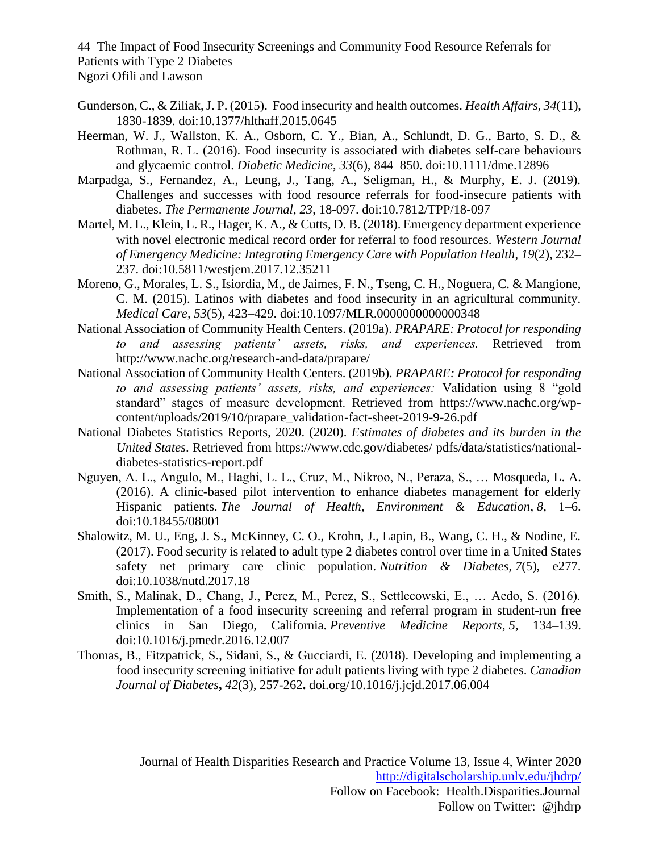- Gunderson, C., & Ziliak, J. P. (2015). Food insecurity and health outcomes. *Health Affairs, 34*(11), 1830-1839. doi:10.1377/hlthaff.2015.0645
- Heerman, W. J., Wallston, K. A., Osborn, C. Y., Bian, A., Schlundt, D. G., Barto, S. D., & Rothman, R. L. (2016). Food insecurity is associated with diabetes self-care behaviours and glycaemic control. *Diabetic Medicine*, *33*(6), 844–850. doi:10.1111/dme.12896
- Marpadga, S., Fernandez, A., Leung, J., Tang, A., Seligman, H., & Murphy, E. J. (2019). Challenges and successes with food resource referrals for food-insecure patients with diabetes. *The Permanente Journal*, *23*, 18-097. doi:10.7812/TPP/18-097
- Martel, M. L., Klein, L. R., Hager, K. A., & Cutts, D. B. (2018). Emergency department experience with novel electronic medical record order for referral to food resources. *Western Journal of Emergency Medicine: Integrating Emergency Care with Population Health*, *19*(2), 232– 237. doi:10.5811/westjem.2017.12.35211
- Moreno, G., Morales, L. S., Isiordia, M., de Jaimes, F. N., Tseng, C. H., Noguera, C. & Mangione, C. M. (2015). Latinos with diabetes and food insecurity in an agricultural community. *Medical Care, 53*(5), 423–429. doi:10.1097/MLR.0000000000000348
- National Association of Community Health Centers. (2019a). *PRAPARE: Protocol for responding to and assessing patients' assets, risks, and experiences.* Retrieved from <http://www.nachc.org/research-and-data/prapare/>
- National Association of Community Health Centers. (2019b). *PRAPARE: Protocol for responding to and assessing patients' assets, risks, and experiences:* Validation using 8 "gold standard" stages of measure development. Retrieved from https://www.nachc.org/wpcontent/uploads/2019/10/prapare\_validation-fact-sheet-2019-9-26.pdf
- National Diabetes Statistics Reports, 2020. (2020). *Estimates of diabetes and its burden in the United States*. Retrieved from<https://www.cdc.gov/diabetes/> pdfs/data/statistics/nationaldiabetes-statistics-report.pdf
- Nguyen, A. L., Angulo, M., Haghi, L. L., Cruz, M., Nikroo, N., Peraza, S., … Mosqueda, L. A. (2016). A clinic-based pilot intervention to enhance diabetes management for elderly Hispanic patients. *The Journal of Health, Environment & Education*, *8*, 1–6. doi:10.18455/08001
- Shalowitz, M. U., Eng, J. S., McKinney, C. O., Krohn, J., Lapin, B., Wang, C. H., & Nodine, E. (2017). Food security is related to adult type 2 diabetes control over time in a United States safety net primary care clinic population. *Nutrition & Diabetes*, *7*(5), e277. doi:10.1038/nutd.2017.18
- Smith, S., Malinak, D., Chang, J., Perez, M., Perez, S., Settlecowski, E., … Aedo, S. (2016). Implementation of a food insecurity screening and referral program in student-run free clinics in San Diego, California. *Preventive Medicine Reports*, *5*, 134–139. doi:10.1016/j.pmedr.2016.12.007
- Thomas, B., Fitzpatrick, S., Sidani, S., & Gucciardi, E. (2018). Developing and implementing a food insecurity screening initiative for adult patients living with type 2 diabetes. *Canadian Journal of Diabetes***,** *42*(3), 257-262**.** [doi.org/10.1016/j.jcjd.2017.06.004](https://doi-org.libdata.lib.ua.edu/10.1016/j.jcjd.2017.06.004)